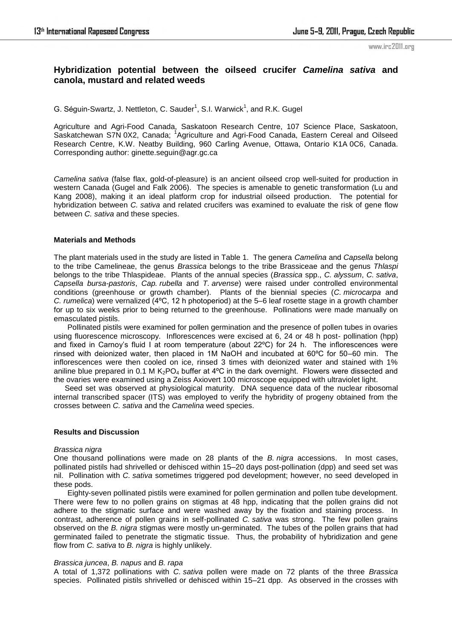www.irc2011.org

# **Hybridization potential between the oilseed crucifer** *Camelina sativa* **and canola, mustard and related weeds**

G. Séguin-Swartz, J. Nettleton, C. Sauder<sup>1</sup>, S.I. Warwick<sup>1</sup>, and R.K. Gugel

Agriculture and Agri-Food Canada, Saskatoon Research Centre, 107 Science Place, Saskatoon, Saskatchewan S7N 0X2, Canada; <sup>1</sup>Agriculture and Agri-Food Canada, Eastern Cereal and Oilseed Research Centre, K.W. Neatby Building, 960 Carling Avenue, Ottawa, Ontario K1A 0C6, Canada. Corresponding author: ginette.seguin@agr.gc.ca

*Camelina sativa* (false flax, gold-of-pleasure) is an ancient oilseed crop well-suited for production in western Canada (Gugel and Falk 2006). The species is amenable to genetic transformation (Lu and Kang 2008), making it an ideal platform crop for industrial oilseed production. The potential for hybridization between *C. sativa* and related crucifers was examined to evaluate the risk of gene flow between *C. sativa* and these species.

# **Materials and Methods**

The plant materials used in the study are listed in Table 1. The genera *Camelina* and *Capsella* belong to the tribe Camelineae, the genus *Brassica* belongs to the tribe Brassiceae and the genus *Thlaspi* belongs to the tribe Thlaspideae. Plants of the annual species (*Brassica* spp., *C. alyssum*, *C. sativa*, *Capsella bursa-pastoris*, *Cap. rubella* and *T. arvense*) were raised under controlled environmental conditions (greenhouse or growth chamber). Plants of the biennial species (*C. microcarpa* and *C. rumelica*) were vernalized (4ºC, 12 h photoperiod) at the 5–6 leaf rosette stage in a growth chamber for up to six weeks prior to being returned to the greenhouse. Pollinations were made manually on emasculated pistils.

Pollinated pistils were examined for pollen germination and the presence of pollen tubes in ovaries using fluorescence microscopy. Inflorescences were excised at 6, 24 or 48 h post- pollination (hpp) and fixed in Carnoy's fluid I at room temperature (about 22°C) for 24 h. The inflorescences were rinsed with deionized water, then placed in 1M NaOH and incubated at 60ºC for 50–60 min. The inflorescences were then cooled on ice, rinsed 3 times with deionized water and stained with 1% aniline blue prepared in 0.1 M  $K_2PQ_4$  buffer at 4°C in the dark overnight. Flowers were dissected and the ovaries were examined using a Zeiss Axiovert 100 microscope equipped with ultraviolet light.

Seed set was observed at physiological maturity. DNA sequence data of the nuclear ribosomal internal transcribed spacer (ITS) was employed to verify the hybridity of progeny obtained from the crosses between *C. sativa* and the *Camelina* weed species.

# **Results and Discussion**

# *Brassica nigra*

One thousand pollinations were made on 28 plants of the *B. nigra* accessions. In most cases, pollinated pistils had shrivelled or dehisced within 15–20 days post-pollination (dpp) and seed set was nil. Pollination with *C. sativa* sometimes triggered pod development; however, no seed developed in these pods.

Eighty-seven pollinated pistils were examined for pollen germination and pollen tube development. There were few to no pollen grains on stigmas at 48 hpp, indicating that the pollen grains did not adhere to the stigmatic surface and were washed away by the fixation and staining process. In contrast, adherence of pollen grains in self-pollinated *C. sativa* was strong. The few pollen grains observed on the *B. nigra* stigmas were mostly un-germinated. The tubes of the pollen grains that had germinated failed to penetrate the stigmatic tissue. Thus, the probability of hybridization and gene flow from *C. sativa* to *B. nigra* is highly unlikely.

# *Brassica juncea*, *B. napus* and *B. rapa*

A total of 1,372 pollinations with *C. sativa* pollen were made on 72 plants of the three *Brassica* species. Pollinated pistils shrivelled or dehisced within 15–21 dpp. As observed in the crosses with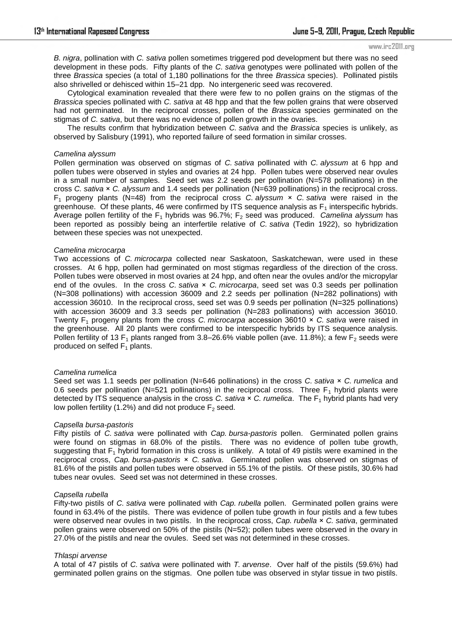#### www.irc2011.org

*B. nigra*, pollination with *C. sativa* pollen sometimes triggered pod development but there was no seed development in these pods. Fifty plants of the *C. sativa* genotypes were pollinated with pollen of the three *Brassica* species (a total of 1,180 pollinations for the three *Brassica* species). Pollinated pistils also shrivelled or dehisced within 15–21 dpp. No intergeneric seed was recovered.

Cytological examination revealed that there were few to no pollen grains on the stigmas of the *Brassica* species pollinated with *C. sativa* at 48 hpp and that the few pollen grains that were observed had not germinated. In the reciprocal crosses, pollen of the *Brassica* species germinated on the stigmas of *C. sativa*, but there was no evidence of pollen growth in the ovaries.

The results confirm that hybridization between *C. sativa* and the *Brassica* species is unlikely, as observed by Salisbury (1991), who reported failure of seed formation in similar crosses.

#### *Camelina alyssum*

Pollen germination was observed on stigmas of *C. sativa* pollinated with *C. alyssum* at 6 hpp and pollen tubes were observed in styles and ovaries at 24 hpp. Pollen tubes were observed near ovules in a small number of samples. Seed set was 2.2 seeds per pollination (N=578 pollinations) in the cross *C. sativa* × *C. alyssum* and 1.4 seeds per pollination (N=639 pollinations) in the reciprocal cross. F1 progeny plants (N=48) from the reciprocal cross *C. alyssum* × *C. sativa* were raised in the greenhouse. Of these plants, 46 were confirmed by ITS sequence analysis as  $F_1$  interspecific hybrids. Average pollen fertility of the  $F_1$  hybrids was 96.7%;  $F_2$  seed was produced. *Camelina alyssum* has been reported as possibly being an interfertile relative of *C. sativa* (Tedin 1922), so hybridization between these species was not unexpected.

#### *Camelina microcarpa*

Two accessions of *C. microcarpa* collected near Saskatoon, Saskatchewan, were used in these crosses. At 6 hpp, pollen had germinated on most stigmas regardless of the direction of the cross. Pollen tubes were observed in most ovaries at 24 hpp, and often near the ovules and/or the micropylar end of the ovules. In the cross *C. sativa* × *C. microcarpa*, seed set was 0.3 seeds per pollination (N=308 pollinations) with accession 36009 and 2.2 seeds per pollination (N=282 pollinations) with accession 36010. In the reciprocal cross, seed set was 0.9 seeds per pollination (N=325 pollinations) with accession 36009 and 3.3 seeds per pollination (N=283 pollinations) with accession 36010. Twenty F1 progeny plants from the cross *C. microcarpa* accession 36010 × *C. sativa* were raised in the greenhouse. All 20 plants were confirmed to be interspecific hybrids by ITS sequence analysis. Pollen fertility of 13 F<sub>1</sub> plants ranged from 3.8–26.6% viable pollen (ave. 11.8%); a few F<sub>2</sub> seeds were produced on selfed  $F_1$  plants.

#### *Camelina rumelica*

Seed set was 1.1 seeds per pollination (N=646 pollinations) in the cross *C. sativa* × *C. rumelica* and 0.6 seeds per pollination (N=521 pollinations) in the reciprocal cross. Three  $F_1$  hybrid plants were detected by ITS sequence analysis in the cross *C. sativa* × *C. rumelica*. The F<sub>1</sub> hybrid plants had very low pollen fertility (1.2%) and did not produce  $F_2$  seed.

#### *Capsella bursa-pastoris*

Fifty pistils of *C. sativa* were pollinated with *Cap. bursa-pastoris* pollen. Germinated pollen grains were found on stigmas in 68.0% of the pistils. There was no evidence of pollen tube growth, suggesting that  $F_1$  hybrid formation in this cross is unlikely. A total of 49 pistils were examined in the reciprocal cross, *Cap. bursa-pastoris* × *C. sativa*. Germinated pollen was observed on stigmas of 81.6% of the pistils and pollen tubes were observed in 55.1% of the pistils. Of these pistils, 30.6% had tubes near ovules. Seed set was not determined in these crosses.

## *Capsella rubella*

Fifty-two pistils of *C. sativa* were pollinated with *Cap. rubella* pollen. Germinated pollen grains were found in 63.4% of the pistils. There was evidence of pollen tube growth in four pistils and a few tubes were observed near ovules in two pistils. In the reciprocal cross, *Cap. rubella* × *C. sativa*, germinated pollen grains were observed on 50% of the pistils (N=52); pollen tubes were observed in the ovary in 27.0% of the pistils and near the ovules. Seed set was not determined in these crosses.

#### *Thlaspi arvense*

A total of 47 pistils of *C. sativa* were pollinated with *T. arvense*. Over half of the pistils (59.6%) had germinated pollen grains on the stigmas. One pollen tube was observed in stylar tissue in two pistils.